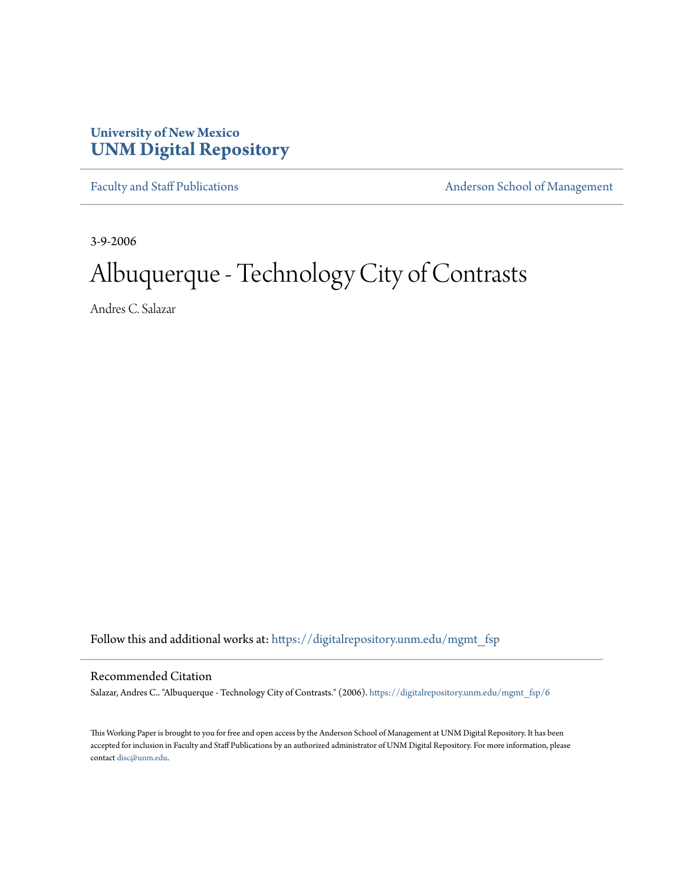# **University of New Mexico [UNM Digital Repository](https://digitalrepository.unm.edu?utm_source=digitalrepository.unm.edu%2Fmgmt_fsp%2F6&utm_medium=PDF&utm_campaign=PDFCoverPages)**

[Faculty and Staff Publications](https://digitalrepository.unm.edu/mgmt_fsp?utm_source=digitalrepository.unm.edu%2Fmgmt_fsp%2F6&utm_medium=PDF&utm_campaign=PDFCoverPages) **[Anderson School of Management](https://digitalrepository.unm.edu/mgmt?utm_source=digitalrepository.unm.edu%2Fmgmt_fsp%2F6&utm_medium=PDF&utm_campaign=PDFCoverPages)** 

3-9-2006

# Albuquerque - Technology City of Contrasts

Andres C. Salazar

Follow this and additional works at: [https://digitalrepository.unm.edu/mgmt\\_fsp](https://digitalrepository.unm.edu/mgmt_fsp?utm_source=digitalrepository.unm.edu%2Fmgmt_fsp%2F6&utm_medium=PDF&utm_campaign=PDFCoverPages)

#### Recommended Citation

Salazar, Andres C.. "Albuquerque - Technology City of Contrasts." (2006). [https://digitalrepository.unm.edu/mgmt\\_fsp/6](https://digitalrepository.unm.edu/mgmt_fsp/6?utm_source=digitalrepository.unm.edu%2Fmgmt_fsp%2F6&utm_medium=PDF&utm_campaign=PDFCoverPages)

This Working Paper is brought to you for free and open access by the Anderson School of Management at UNM Digital Repository. It has been accepted for inclusion in Faculty and Staff Publications by an authorized administrator of UNM Digital Repository. For more information, please contact [disc@unm.edu.](mailto:disc@unm.edu)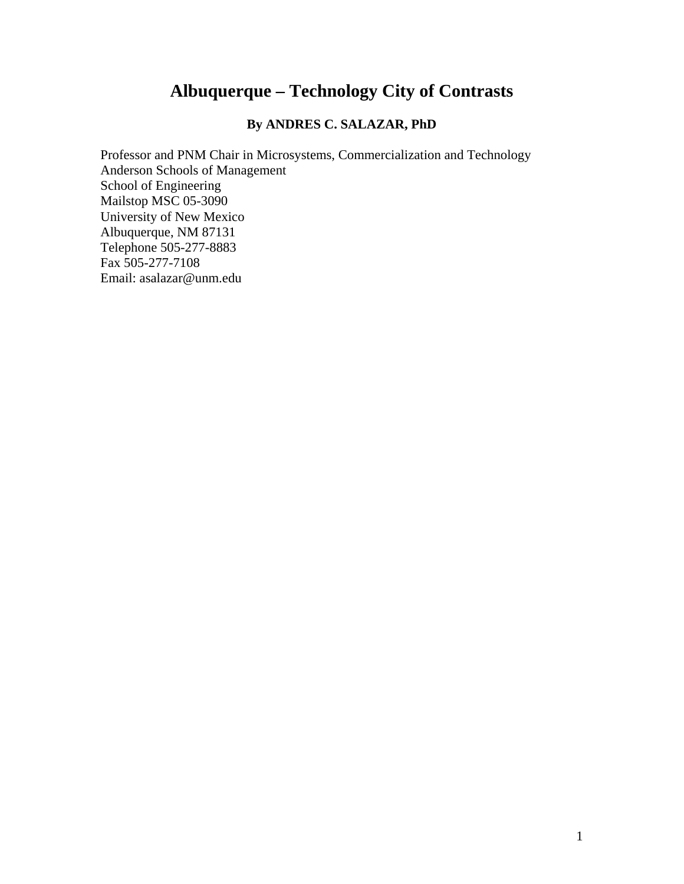# **Albuquerque – Technology City of Contrasts**

### **By ANDRES C. SALAZAR, PhD**

Professor and PNM Chair in Microsystems, Commercialization and Technology Anderson Schools of Management School of Engineering Mailstop MSC 05-3090 University of New Mexico Albuquerque, NM 87131 Telephone 505-277-8883 Fax 505-277-7108 Email: asalazar@unm.edu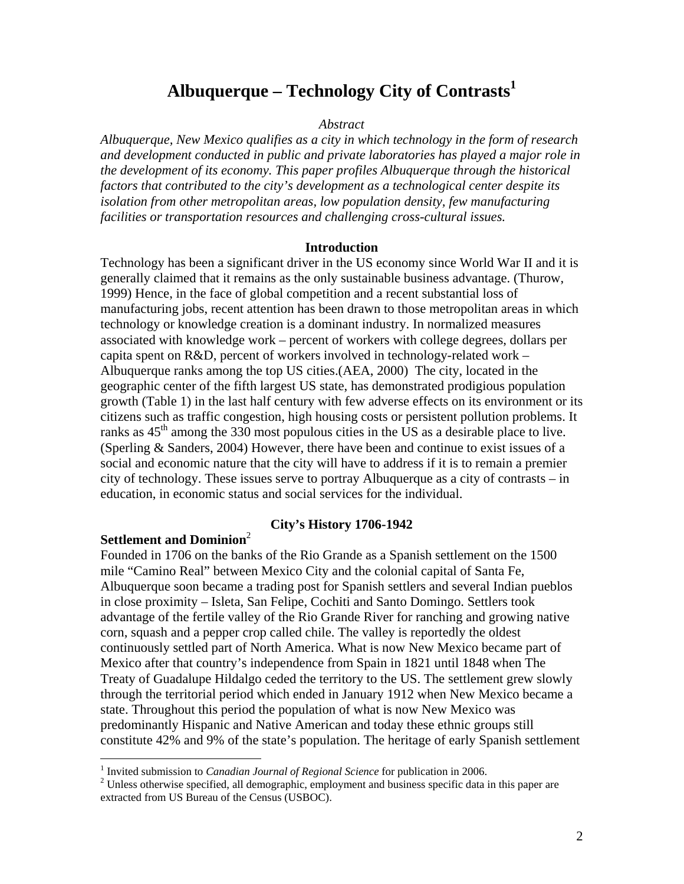# Albuquerque – Technology City of Contrasts<sup>1</sup>

#### *Abstract*

*Albuquerque, New Mexico qualifies as a city in which technology in the form of research and development conducted in public and private laboratories has played a major role in the development of its economy. This paper profiles Albuquerque through the historical factors that contributed to the city's development as a technological center despite its isolation from other metropolitan areas, low population density, few manufacturing facilities or transportation resources and challenging cross-cultural issues.* 

#### **Introduction**

Technology has been a significant driver in the US economy since World War II and it is generally claimed that it remains as the only sustainable business advantage. (Thurow, 1999) Hence, in the face of global competition and a recent substantial loss of manufacturing jobs, recent attention has been drawn to those metropolitan areas in which technology or knowledge creation is a dominant industry. In normalized measures associated with knowledge work – percent of workers with college degrees, dollars per capita spent on R&D, percent of workers involved in technology-related work – Albuquerque ranks among the top US cities.(AEA, 2000) The city, located in the geographic center of the fifth largest US state, has demonstrated prodigious population growth (Table 1) in the last half century with few adverse effects on its environment or its citizens such as traffic congestion, high housing costs or persistent pollution problems. It ranks as  $45<sup>th</sup>$  among the 330 most populous cities in the US as a desirable place to live. (Sperling & Sanders, 2004) However, there have been and continue to exist issues of a social and economic nature that the city will have to address if it is to remain a premier city of technology. These issues serve to portray Albuquerque as a city of contrasts – in education, in economic status and social services for the individual.

#### **Settlement and Dominion**[2](#page-2-1)

 $\overline{a}$ 

#### **City's History 1706-1942**

Founded in 1706 on the banks of the Rio Grande as a Spanish settlement on the 1500 mile "Camino Real" between Mexico City and the colonial capital of Santa Fe, Albuquerque soon became a trading post for Spanish settlers and several Indian pueblos in close proximity – Isleta, San Felipe, Cochiti and Santo Domingo. Settlers took advantage of the fertile valley of the Rio Grande River for ranching and growing native corn, squash and a pepper crop called chile. The valley is reportedly the oldest continuously settled part of North America. What is now New Mexico became part of Mexico after that country's independence from Spain in 1821 until 1848 when The Treaty of Guadalupe Hildalgo ceded the territory to the US. The settlement grew slowly through the territorial period which ended in January 1912 when New Mexico became a state. Throughout this period the population of what is now New Mexico was predominantly Hispanic and Native American and today these ethnic groups still constitute 42% and 9% of the state's population. The heritage of early Spanish settlement

<span id="page-2-0"></span><sup>&</sup>lt;sup>1</sup> Invited submission to *Canadian Journal of Regional Science* for publication in 2006.

<span id="page-2-1"></span> $2$  Unless otherwise specified, all demographic, employment and business specific data in this paper are extracted from US Bureau of the Census (USBOC).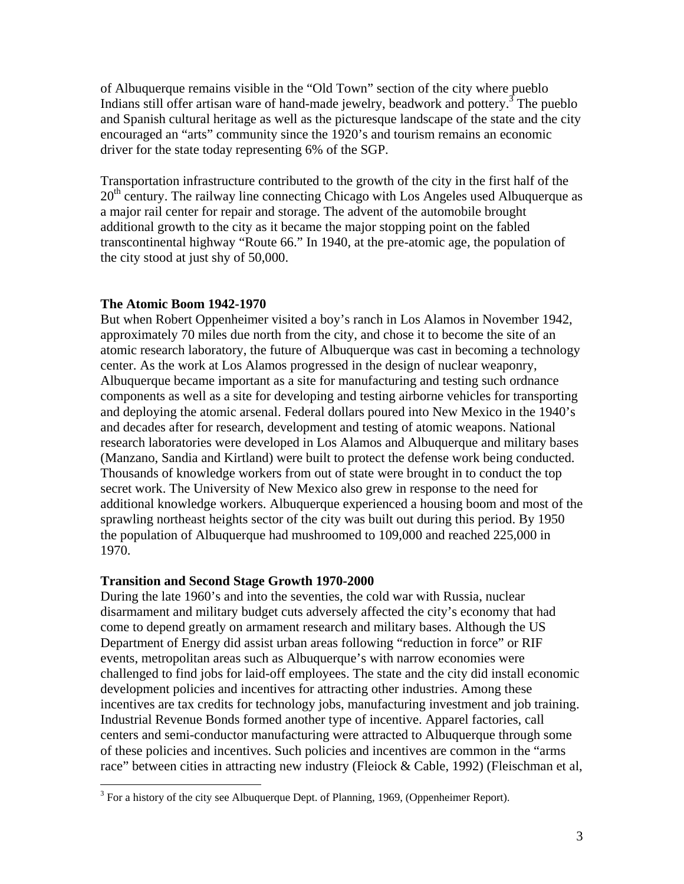of Albuquerque remains visible in the "Old Town" section of the city where pueblo Indians still offer artisan ware of hand-made jewelry, beadwork and pottery.<sup>[3](#page-3-0)</sup> The pueblo and Spanish cultural heritage as well as the picturesque landscape of the state and the city encouraged an "arts" community since the 1920's and tourism remains an economic driver for the state today representing 6% of the SGP.

Transportation infrastructure contributed to the growth of the city in the first half of the  $20<sup>th</sup>$  century. The railway line connecting Chicago with Los Angeles used Albuquerque as a major rail center for repair and storage. The advent of the automobile brought additional growth to the city as it became the major stopping point on the fabled transcontinental highway "Route 66." In 1940, at the pre-atomic age, the population of the city stood at just shy of 50,000.

#### **The Atomic Boom 1942-1970**

But when Robert Oppenheimer visited a boy's ranch in Los Alamos in November 1942, approximately 70 miles due north from the city, and chose it to become the site of an atomic research laboratory, the future of Albuquerque was cast in becoming a technology center. As the work at Los Alamos progressed in the design of nuclear weaponry, Albuquerque became important as a site for manufacturing and testing such ordnance components as well as a site for developing and testing airborne vehicles for transporting and deploying the atomic arsenal. Federal dollars poured into New Mexico in the 1940's and decades after for research, development and testing of atomic weapons. National research laboratories were developed in Los Alamos and Albuquerque and military bases (Manzano, Sandia and Kirtland) were built to protect the defense work being conducted. Thousands of knowledge workers from out of state were brought in to conduct the top secret work. The University of New Mexico also grew in response to the need for additional knowledge workers. Albuquerque experienced a housing boom and most of the sprawling northeast heights sector of the city was built out during this period. By 1950 the population of Albuquerque had mushroomed to 109,000 and reached 225,000 in 1970.

#### **Transition and Second Stage Growth 1970-2000**

During the late 1960's and into the seventies, the cold war with Russia, nuclear disarmament and military budget cuts adversely affected the city's economy that had come to depend greatly on armament research and military bases. Although the US Department of Energy did assist urban areas following "reduction in force" or RIF events, metropolitan areas such as Albuquerque's with narrow economies were challenged to find jobs for laid-off employees. The state and the city did install economic development policies and incentives for attracting other industries. Among these incentives are tax credits for technology jobs, manufacturing investment and job training. Industrial Revenue Bonds formed another type of incentive. Apparel factories, call centers and semi-conductor manufacturing were attracted to Albuquerque through some of these policies and incentives. Such policies and incentives are common in the "arms race" between cities in attracting new industry (Fleiock & Cable, 1992) (Fleischman et al,

<span id="page-3-0"></span><sup>&</sup>lt;sup>3</sup> For a history of the city see Albuquerque Dept. of Planning, 1969, (Oppenheimer Report).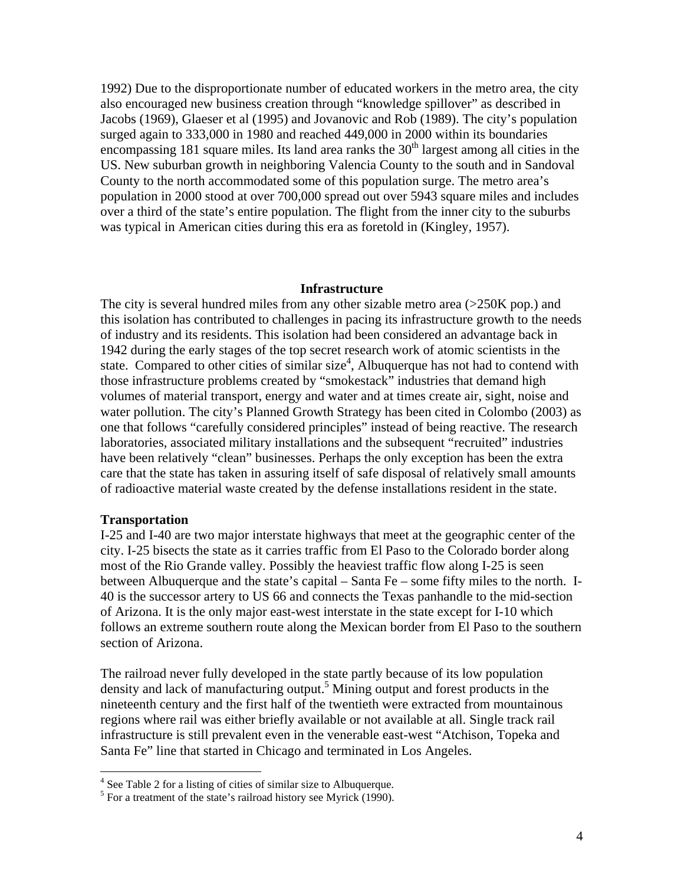1992) Due to the disproportionate number of educated workers in the metro area, the city also encouraged new business creation through "knowledge spillover" as described in Jacobs (1969), Glaeser et al (1995) and Jovanovic and Rob (1989). The city's population surged again to 333,000 in 1980 and reached 449,000 in 2000 within its boundaries encompassing 181 square miles. Its land area ranks the  $30<sup>th</sup>$  largest among all cities in the US. New suburban growth in neighboring Valencia County to the south and in Sandoval County to the north accommodated some of this population surge. The metro area's population in 2000 stood at over 700,000 spread out over 5943 square miles and includes over a third of the state's entire population. The flight from the inner city to the suburbs was typical in American cities during this era as foretold in (Kingley, 1957).

#### **Infrastructure**

The city is several hundred miles from any other sizable metro area  $(>250K$  pop.) and this isolation has contributed to challenges in pacing its infrastructure growth to the needs of industry and its residents. This isolation had been considered an advantage back in 1942 during the early stages of the top secret research work of atomic scientists in the state. Compared to other cities of similar size<sup>[4](#page-4-0)</sup>, Albuquerque has not had to contend with those infrastructure problems created by "smokestack" industries that demand high volumes of material transport, energy and water and at times create air, sight, noise and water pollution. The city's Planned Growth Strategy has been cited in Colombo (2003) as one that follows "carefully considered principles" instead of being reactive. The research laboratories, associated military installations and the subsequent "recruited" industries have been relatively "clean" businesses. Perhaps the only exception has been the extra care that the state has taken in assuring itself of safe disposal of relatively small amounts of radioactive material waste created by the defense installations resident in the state.

#### **Transportation**

I-25 and I-40 are two major interstate highways that meet at the geographic center of the city. I-25 bisects the state as it carries traffic from El Paso to the Colorado border along most of the Rio Grande valley. Possibly the heaviest traffic flow along I-25 is seen between Albuquerque and the state's capital – Santa Fe – some fifty miles to the north. I-40 is the successor artery to US 66 and connects the Texas panhandle to the mid-section of Arizona. It is the only major east-west interstate in the state except for I-10 which follows an extreme southern route along the Mexican border from El Paso to the southern section of Arizona.

The railroad never fully developed in the state partly because of its low population density and lack of manufacturing output.<sup>[5](#page-4-1)</sup> Mining output and forest products in the nineteenth century and the first half of the twentieth were extracted from mountainous regions where rail was either briefly available or not available at all. Single track rail infrastructure is still prevalent even in the venerable east-west "Atchison, Topeka and Santa Fe" line that started in Chicago and terminated in Los Angeles.

<span id="page-4-0"></span> $\frac{4}{\sqrt{1}}$  See Table 2 for a listing of cities of similar size to Albuquerque.

<span id="page-4-1"></span> $<sup>5</sup>$  For a treatment of the state's railroad history see Myrick (1990).</sup>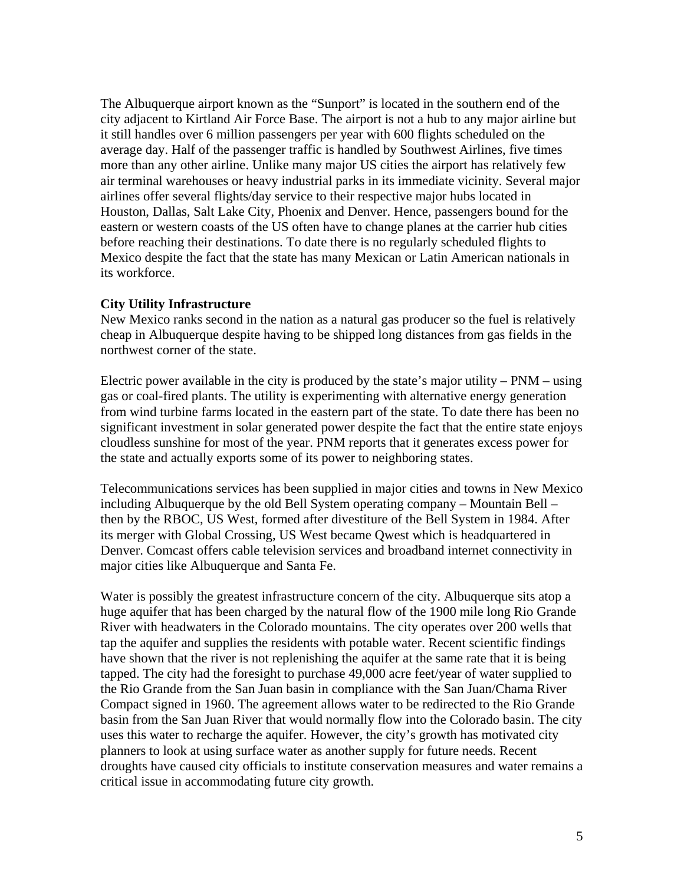The Albuquerque airport known as the "Sunport" is located in the southern end of the city adjacent to Kirtland Air Force Base. The airport is not a hub to any major airline but it still handles over 6 million passengers per year with 600 flights scheduled on the average day. Half of the passenger traffic is handled by Southwest Airlines, five times more than any other airline. Unlike many major US cities the airport has relatively few air terminal warehouses or heavy industrial parks in its immediate vicinity. Several major airlines offer several flights/day service to their respective major hubs located in Houston, Dallas, Salt Lake City, Phoenix and Denver. Hence, passengers bound for the eastern or western coasts of the US often have to change planes at the carrier hub cities before reaching their destinations. To date there is no regularly scheduled flights to Mexico despite the fact that the state has many Mexican or Latin American nationals in its workforce.

#### **City Utility Infrastructure**

New Mexico ranks second in the nation as a natural gas producer so the fuel is relatively cheap in Albuquerque despite having to be shipped long distances from gas fields in the northwest corner of the state.

Electric power available in the city is produced by the state's major utility – PNM – using gas or coal-fired plants. The utility is experimenting with alternative energy generation from wind turbine farms located in the eastern part of the state. To date there has been no significant investment in solar generated power despite the fact that the entire state enjoys cloudless sunshine for most of the year. PNM reports that it generates excess power for the state and actually exports some of its power to neighboring states.

Telecommunications services has been supplied in major cities and towns in New Mexico including Albuquerque by the old Bell System operating company – Mountain Bell – then by the RBOC, US West, formed after divestiture of the Bell System in 1984. After its merger with Global Crossing, US West became Qwest which is headquartered in Denver. Comcast offers cable television services and broadband internet connectivity in major cities like Albuquerque and Santa Fe.

Water is possibly the greatest infrastructure concern of the city. Albuquerque sits atop a huge aquifer that has been charged by the natural flow of the 1900 mile long Rio Grande River with headwaters in the Colorado mountains. The city operates over 200 wells that tap the aquifer and supplies the residents with potable water. Recent scientific findings have shown that the river is not replenishing the aquifer at the same rate that it is being tapped. The city had the foresight to purchase 49,000 acre feet/year of water supplied to the Rio Grande from the San Juan basin in compliance with the San Juan/Chama River Compact signed in 1960. The agreement allows water to be redirected to the Rio Grande basin from the San Juan River that would normally flow into the Colorado basin. The city uses this water to recharge the aquifer. However, the city's growth has motivated city planners to look at using surface water as another supply for future needs. Recent droughts have caused city officials to institute conservation measures and water remains a critical issue in accommodating future city growth.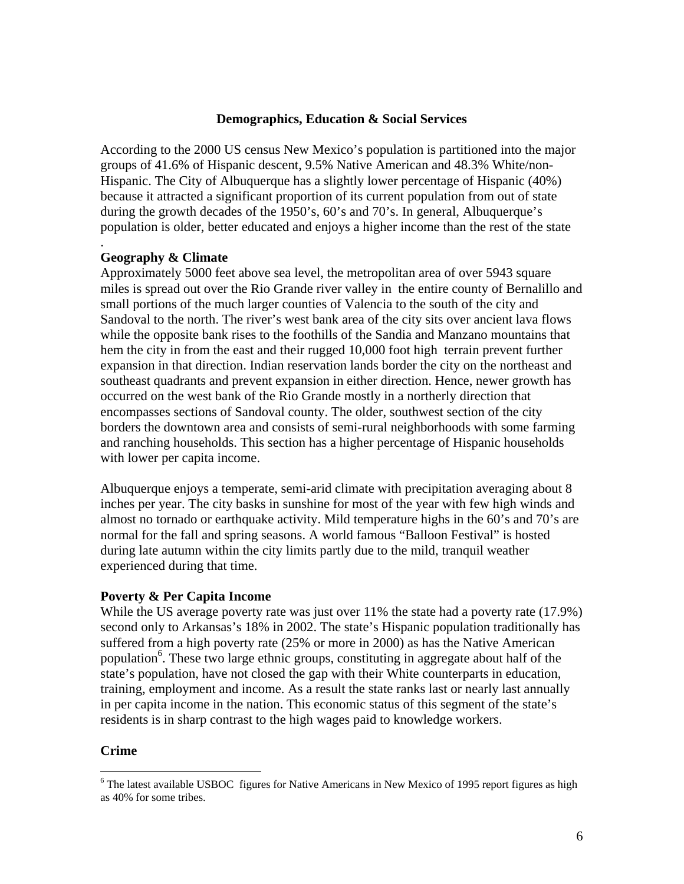#### **Demographics, Education & Social Services**

According to the 2000 US census New Mexico's population is partitioned into the major groups of 41.6% of Hispanic descent, 9.5% Native American and 48.3% White/non-Hispanic. The City of Albuquerque has a slightly lower percentage of Hispanic (40%) because it attracted a significant proportion of its current population from out of state during the growth decades of the 1950's, 60's and 70's. In general, Albuquerque's population is older, better educated and enjoys a higher income than the rest of the state

#### **Geography & Climate**

.

Approximately 5000 feet above sea level, the metropolitan area of over 5943 square miles is spread out over the Rio Grande river valley in the entire county of Bernalillo and small portions of the much larger counties of Valencia to the south of the city and Sandoval to the north. The river's west bank area of the city sits over ancient lava flows while the opposite bank rises to the foothills of the Sandia and Manzano mountains that hem the city in from the east and their rugged 10,000 foot high terrain prevent further expansion in that direction. Indian reservation lands border the city on the northeast and southeast quadrants and prevent expansion in either direction. Hence, newer growth has occurred on the west bank of the Rio Grande mostly in a northerly direction that encompasses sections of Sandoval county. The older, southwest section of the city borders the downtown area and consists of semi-rural neighborhoods with some farming and ranching households. This section has a higher percentage of Hispanic households with lower per capita income.

Albuquerque enjoys a temperate, semi-arid climate with precipitation averaging about 8 inches per year. The city basks in sunshine for most of the year with few high winds and almost no tornado or earthquake activity. Mild temperature highs in the 60's and 70's are normal for the fall and spring seasons. A world famous "Balloon Festival" is hosted during late autumn within the city limits partly due to the mild, tranquil weather experienced during that time.

#### **Poverty & Per Capita Income**

While the US average poverty rate was just over 11% the state had a poverty rate (17.9%) second only to Arkansas's 18% in 2002. The state's Hispanic population traditionally has suffered from a high poverty rate (25% or more in 2000) as has the Native American population<sup>6</sup>. These two large ethnic groups, constituting in aggregate about half of the state's population, have not closed the gap with their White counterparts in education, training, employment and income. As a result the state ranks last or nearly last annually in per capita income in the nation. This economic status of this segment of the state's residents is in sharp contrast to the high wages paid to knowledge workers.

#### **Crime**

<span id="page-6-0"></span><sup>&</sup>lt;sup>6</sup> The latest available USBOC figures for Native Americans in New Mexico of 1995 report figures as high as 40% for some tribes.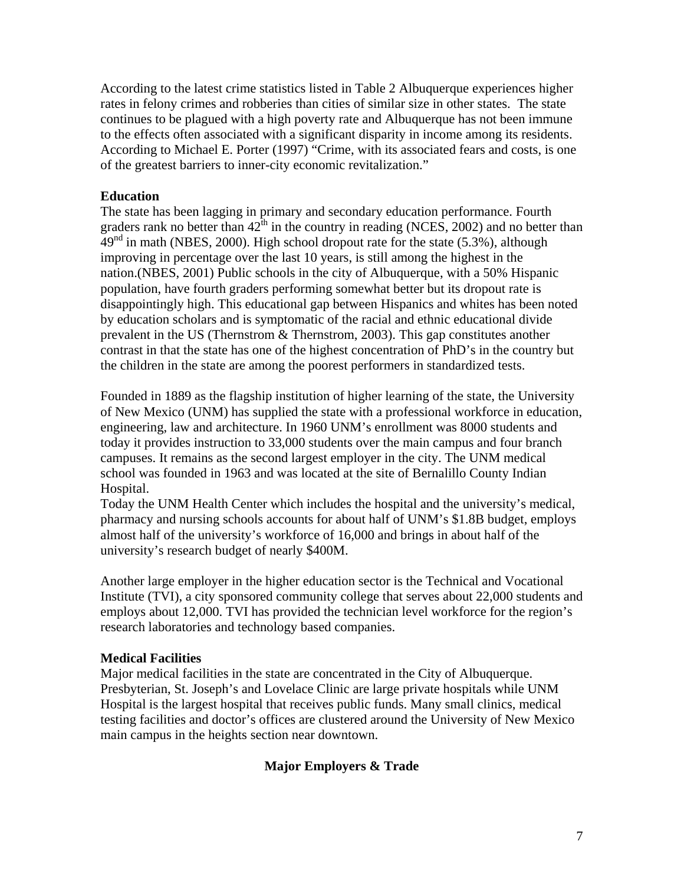According to the latest crime statistics listed in Table 2 Albuquerque experiences higher rates in felony crimes and robberies than cities of similar size in other states. The state continues to be plagued with a high poverty rate and Albuquerque has not been immune to the effects often associated with a significant disparity in income among its residents. According to Michael E. Porter (1997) "Crime, with its associated fears and costs, is one of the greatest barriers to inner-city economic revitalization."

#### **Education**

The state has been lagging in primary and secondary education performance. Fourth graders rank no better than  $42^{\text{th}}$  in the country in reading (NCES, 2002) and no better than  $49<sup>nd</sup>$  in math (NBES, 2000). High school dropout rate for the state (5.3%), although improving in percentage over the last 10 years, is still among the highest in the nation.(NBES, 2001) Public schools in the city of Albuquerque, with a 50% Hispanic population, have fourth graders performing somewhat better but its dropout rate is disappointingly high. This educational gap between Hispanics and whites has been noted by education scholars and is symptomatic of the racial and ethnic educational divide prevalent in the US (Thernstrom & Thernstrom, 2003). This gap constitutes another contrast in that the state has one of the highest concentration of PhD's in the country but the children in the state are among the poorest performers in standardized tests.

Founded in 1889 as the flagship institution of higher learning of the state, the University of New Mexico (UNM) has supplied the state with a professional workforce in education, engineering, law and architecture. In 1960 UNM's enrollment was 8000 students and today it provides instruction to 33,000 students over the main campus and four branch campuses. It remains as the second largest employer in the city. The UNM medical school was founded in 1963 and was located at the site of Bernalillo County Indian Hospital.

Today the UNM Health Center which includes the hospital and the university's medical, pharmacy and nursing schools accounts for about half of UNM's \$1.8B budget, employs almost half of the university's workforce of 16,000 and brings in about half of the university's research budget of nearly \$400M.

Another large employer in the higher education sector is the Technical and Vocational Institute (TVI), a city sponsored community college that serves about 22,000 students and employs about 12,000. TVI has provided the technician level workforce for the region's research laboratories and technology based companies.

#### **Medical Facilities**

Major medical facilities in the state are concentrated in the City of Albuquerque. Presbyterian, St. Joseph's and Lovelace Clinic are large private hospitals while UNM Hospital is the largest hospital that receives public funds. Many small clinics, medical testing facilities and doctor's offices are clustered around the University of New Mexico main campus in the heights section near downtown.

#### **Major Employers & Trade**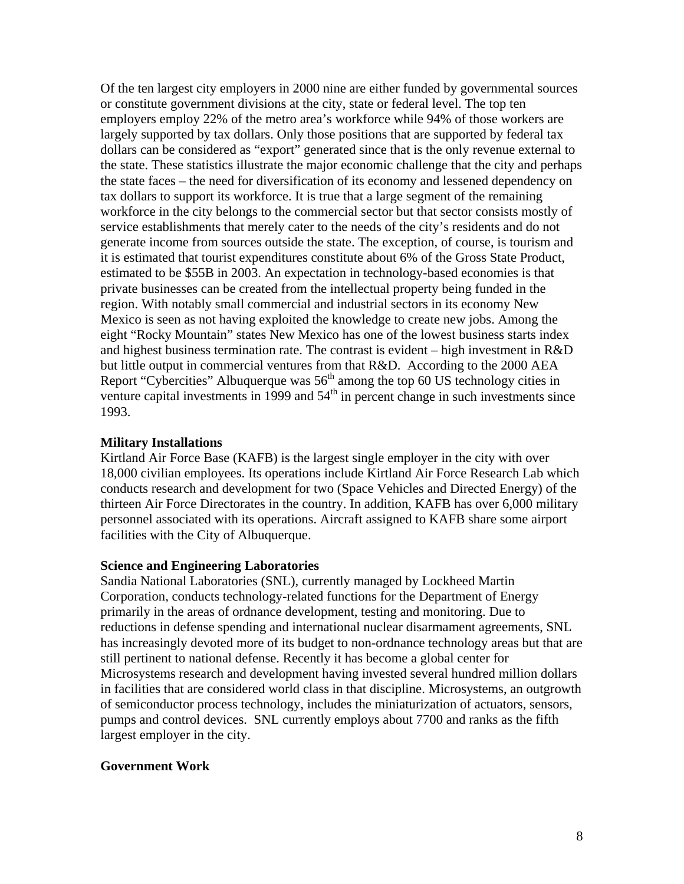Of the ten largest city employers in 2000 nine are either funded by governmental sources or constitute government divisions at the city, state or federal level. The top ten employers employ 22% of the metro area's workforce while 94% of those workers are largely supported by tax dollars. Only those positions that are supported by federal tax dollars can be considered as "export" generated since that is the only revenue external to the state. These statistics illustrate the major economic challenge that the city and perhaps the state faces – the need for diversification of its economy and lessened dependency on tax dollars to support its workforce. It is true that a large segment of the remaining workforce in the city belongs to the commercial sector but that sector consists mostly of service establishments that merely cater to the needs of the city's residents and do not generate income from sources outside the state. The exception, of course, is tourism and it is estimated that tourist expenditures constitute about 6% of the Gross State Product, estimated to be \$55B in 2003. An expectation in technology-based economies is that private businesses can be created from the intellectual property being funded in the region. With notably small commercial and industrial sectors in its economy New Mexico is seen as not having exploited the knowledge to create new jobs. Among the eight "Rocky Mountain" states New Mexico has one of the lowest business starts index and highest business termination rate. The contrast is evident – high investment in R&D but little output in commercial ventures from that R&D. According to the 2000 AEA Report "Cybercities" Albuquerque was  $56<sup>th</sup>$  among the top 60 US technology cities in venture capital investments in 1999 and  $54<sup>th</sup>$  in percent change in such investments since 1993.

#### **Military Installations**

Kirtland Air Force Base (KAFB) is the largest single employer in the city with over 18,000 civilian employees. Its operations include Kirtland Air Force Research Lab which conducts research and development for two (Space Vehicles and Directed Energy) of the thirteen Air Force Directorates in the country. In addition, KAFB has over 6,000 military personnel associated with its operations. Aircraft assigned to KAFB share some airport facilities with the City of Albuquerque.

#### **Science and Engineering Laboratories**

Sandia National Laboratories (SNL), currently managed by Lockheed Martin Corporation, conducts technology-related functions for the Department of Energy primarily in the areas of ordnance development, testing and monitoring. Due to reductions in defense spending and international nuclear disarmament agreements, SNL has increasingly devoted more of its budget to non-ordnance technology areas but that are still pertinent to national defense. Recently it has become a global center for Microsystems research and development having invested several hundred million dollars in facilities that are considered world class in that discipline. Microsystems, an outgrowth of semiconductor process technology, includes the miniaturization of actuators, sensors, pumps and control devices. SNL currently employs about 7700 and ranks as the fifth largest employer in the city.

#### **Government Work**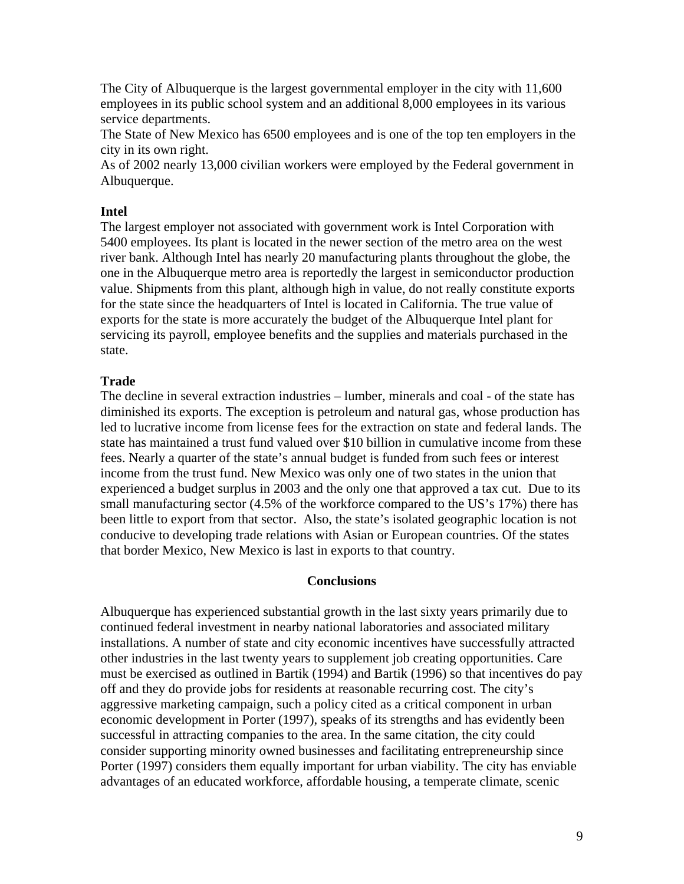The City of Albuquerque is the largest governmental employer in the city with 11,600 employees in its public school system and an additional 8,000 employees in its various service departments.

The State of New Mexico has 6500 employees and is one of the top ten employers in the city in its own right.

As of 2002 nearly 13,000 civilian workers were employed by the Federal government in Albuquerque.

#### **Intel**

The largest employer not associated with government work is Intel Corporation with 5400 employees. Its plant is located in the newer section of the metro area on the west river bank. Although Intel has nearly 20 manufacturing plants throughout the globe, the one in the Albuquerque metro area is reportedly the largest in semiconductor production value. Shipments from this plant, although high in value, do not really constitute exports for the state since the headquarters of Intel is located in California. The true value of exports for the state is more accurately the budget of the Albuquerque Intel plant for servicing its payroll, employee benefits and the supplies and materials purchased in the state.

#### **Trade**

The decline in several extraction industries – lumber, minerals and coal - of the state has diminished its exports. The exception is petroleum and natural gas, whose production has led to lucrative income from license fees for the extraction on state and federal lands. The state has maintained a trust fund valued over \$10 billion in cumulative income from these fees. Nearly a quarter of the state's annual budget is funded from such fees or interest income from the trust fund. New Mexico was only one of two states in the union that experienced a budget surplus in 2003 and the only one that approved a tax cut. Due to its small manufacturing sector (4.5% of the workforce compared to the US's 17%) there has been little to export from that sector. Also, the state's isolated geographic location is not conducive to developing trade relations with Asian or European countries. Of the states that border Mexico, New Mexico is last in exports to that country.

#### **Conclusions**

Albuquerque has experienced substantial growth in the last sixty years primarily due to continued federal investment in nearby national laboratories and associated military installations. A number of state and city economic incentives have successfully attracted other industries in the last twenty years to supplement job creating opportunities. Care must be exercised as outlined in Bartik (1994) and Bartik (1996) so that incentives do pay off and they do provide jobs for residents at reasonable recurring cost. The city's aggressive marketing campaign, such a policy cited as a critical component in urban economic development in Porter (1997), speaks of its strengths and has evidently been successful in attracting companies to the area. In the same citation, the city could consider supporting minority owned businesses and facilitating entrepreneurship since Porter (1997) considers them equally important for urban viability. The city has enviable advantages of an educated workforce, affordable housing, a temperate climate, scenic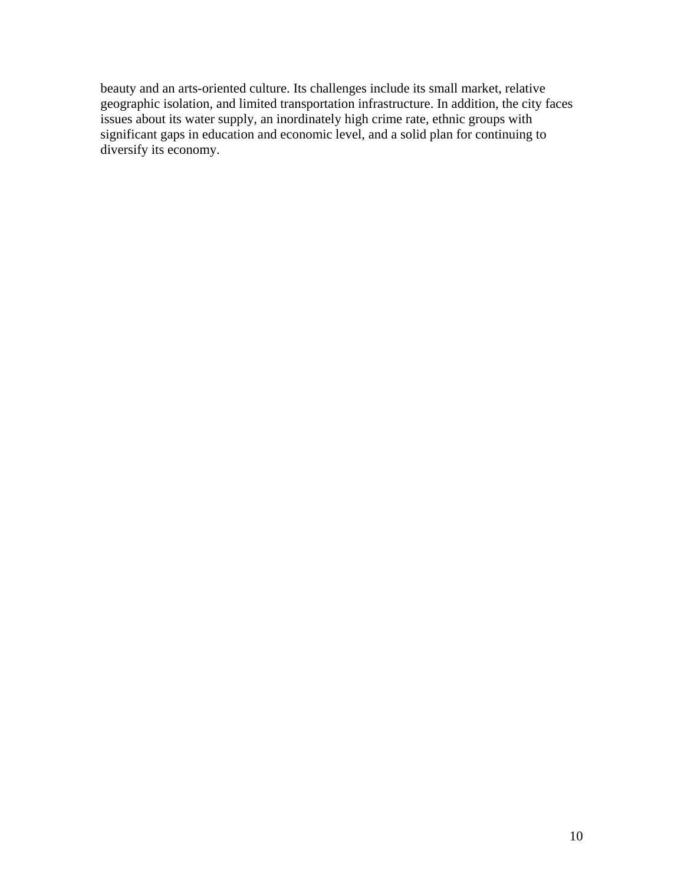beauty and an arts-oriented culture. Its challenges include its small market, relative geographic isolation, and limited transportation infrastructure. In addition, the city faces issues about its water supply, an inordinately high crime rate, ethnic groups with significant gaps in education and economic level, and a solid plan for continuing to diversify its economy.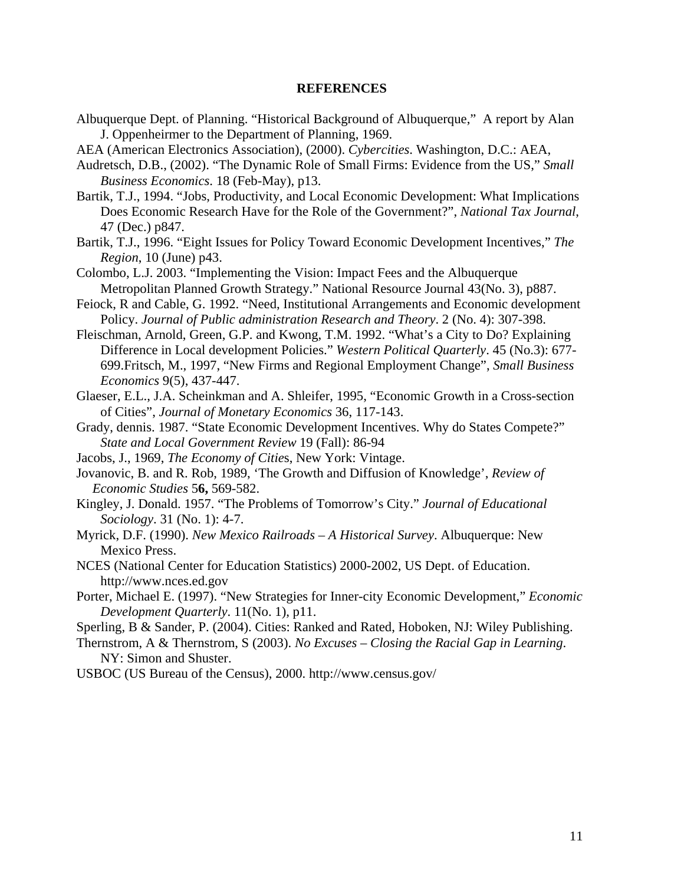#### **REFERENCES**

- Albuquerque Dept. of Planning. "Historical Background of Albuquerque," A report by Alan J. Oppenheirmer to the Department of Planning, 1969.
- AEA (American Electronics Association), (2000). *Cybercities*. Washington, D.C.: AEA,
- Audretsch, D.B., (2002). "The Dynamic Role of Small Firms: Evidence from the US," *Small Business Economics*. 18 (Feb-May), p13.
- Bartik, T.J., 1994. "Jobs, Productivity, and Local Economic Development: What Implications Does Economic Research Have for the Role of the Government?", *National Tax Journal*, 47 (Dec.) p847.
- Bartik, T.J., 1996. "Eight Issues for Policy Toward Economic Development Incentives," *The Region*, 10 (June) p43.
- Colombo, L.J. 2003. "Implementing the Vision: Impact Fees and the Albuquerque Metropolitan Planned Growth Strategy." National Resource Journal 43(No. 3), p887.
- Feiock, R and Cable, G. 1992. "Need, Institutional Arrangements and Economic development Policy. *Journal of Public administration Research and Theory*. 2 (No. 4): 307-398.
- Fleischman, Arnold, Green, G.P. and Kwong, T.M. 1992. "What's a City to Do? Explaining Difference in Local development Policies." *Western Political Quarterly*. 45 (No.3): 677- 699.Fritsch, M., 1997, "New Firms and Regional Employment Change", *Small Business Economics* 9(5), 437-447.
- Glaeser, E.L., J.A. Scheinkman and A. Shleifer, 1995, "Economic Growth in a Cross-section of Cities", *Journal of Monetary Economics* 36, 117-143.
- Grady, dennis. 1987. "State Economic Development Incentives. Why do States Compete?" *State and Local Government Review* 19 (Fall): 86-94
- Jacobs, J., 1969, *The Economy of Citie*s, New York: Vintage.
- Jovanovic, B. and R. Rob, 1989, 'The Growth and Diffusion of Knowledge', *Review of Economic Studies* 5**6,** 569-582.
- Kingley, J. Donald. 1957. "The Problems of Tomorrow's City." *Journal of Educational Sociology*. 31 (No. 1): 4-7.
- Myrick, D.F. (1990). *New Mexico Railroads A Historical Survey*. Albuquerque: New Mexico Press.
- NCES (National Center for Education Statistics) 2000-2002, US Dept. of Education. http://www.nces.ed.gov
- Porter, Michael E. (1997). "New Strategies for Inner-city Economic Development," *Economic Development Quarterly*. 11(No. 1), p11.
- Sperling, B & Sander, P. (2004). Cities: Ranked and Rated, Hoboken, NJ: Wiley Publishing.
- Thernstrom, A & Thernstrom, S (2003). *No Excuses Closing the Racial Gap in Learning*. NY: Simon and Shuster.
- USBOC (US Bureau of the Census), 2000. http://www.census.gov/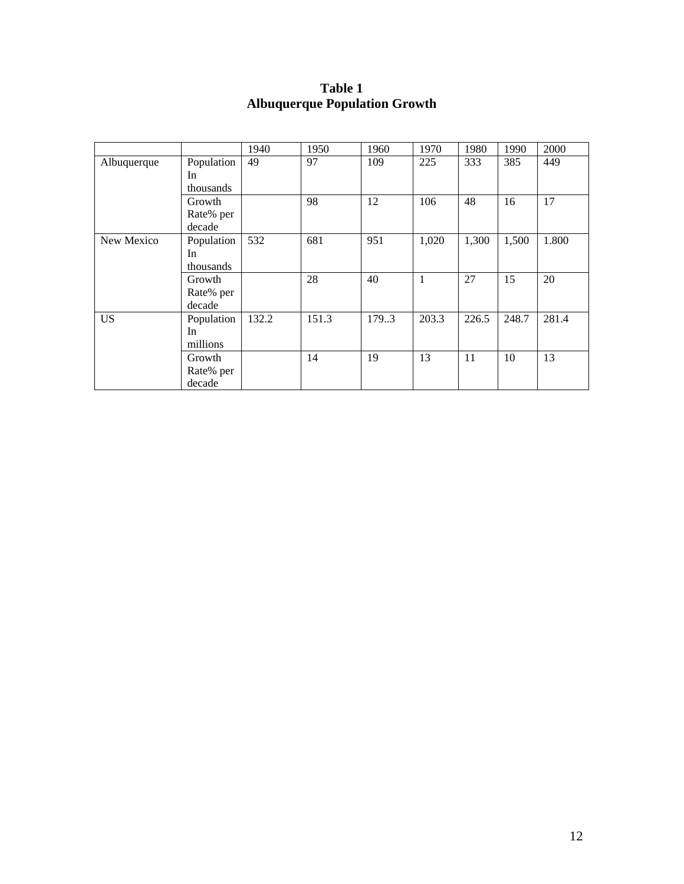|             |            | 1940  | 1950  | 1960  | 1970  | 1980  | 1990  | 2000  |
|-------------|------------|-------|-------|-------|-------|-------|-------|-------|
| Albuquerque | Population | 49    | 97    | 109   | 225   | 333   | 385   | 449   |
|             | In         |       |       |       |       |       |       |       |
|             | thousands  |       |       |       |       |       |       |       |
|             | Growth     |       | 98    | 12    | 106   | 48    | 16    | 17    |
|             | Rate% per  |       |       |       |       |       |       |       |
|             | decade     |       |       |       |       |       |       |       |
| New Mexico  | Population | 532   | 681   | 951   | 1,020 | 1,300 | 1,500 | 1.800 |
|             | In         |       |       |       |       |       |       |       |
|             | thousands  |       |       |       |       |       |       |       |
|             | Growth     |       | 28    | 40    | 1     | 27    | 15    | 20    |
|             | Rate% per  |       |       |       |       |       |       |       |
|             | decade     |       |       |       |       |       |       |       |
| <b>US</b>   | Population | 132.2 | 151.3 | 179.3 | 203.3 | 226.5 | 248.7 | 281.4 |
|             | In         |       |       |       |       |       |       |       |
|             | millions   |       |       |       |       |       |       |       |
|             | Growth     |       | 14    | 19    | 13    | 11    | 10    | 13    |
|             | Rate% per  |       |       |       |       |       |       |       |
|             | decade     |       |       |       |       |       |       |       |

## **Table 1 Albuquerque Population Growth**